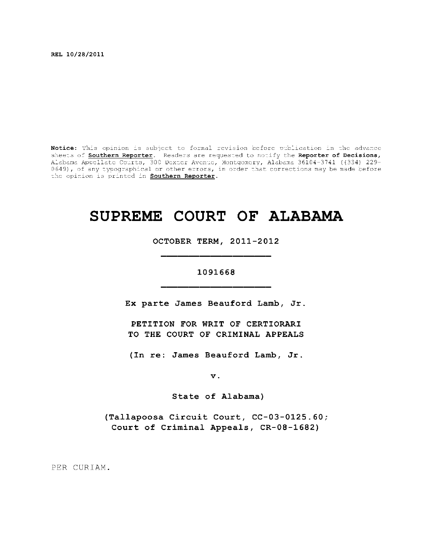**REL 10/28/2011** 

Notice: This opinion is subject to formal revision before publication in the advance sheets of **Southern Reporter**. Readers are requested to notify the Reporter of Decisions, Alabama Appellate Courts, 300 Dexter Avenue, Montgomery, Alabama 36104-3741 ((334) 229-0649), of any typographical or other errors, in order that corrections may be made before  $\,$ the opinion is printed in **Southern Reporter**.

# **SUPREME COURT OF ALABAMA**

**OCTOBER TERM, 2011-2012** 

# **1091668**

Ex parte James Beauford Lamb, Jr.

**PETITION FOR WRIT OF CERTIORARI TO THE COURT OF CRIMINAL APPEALS** 

**( I n re : James Beauford Lamb, Jr .** 

**v.** 

State of Alabama)

**(Tallapoos a Circui t Court, CC-03-0125.60;**  Court of Criminal Appeals, CR-08-1682)

PER CURIAM.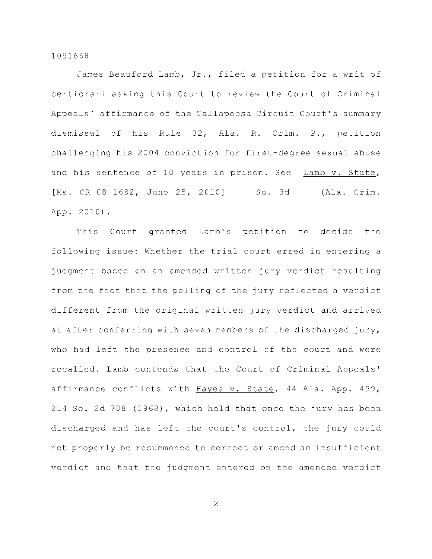James Beauford Lamb, Jr., filed a petition for a writ of certiorari asking this Court to review the Court of Criminal Appeals' affirmance of the Tallapoosa Circuit Court's summary dismissal of his Rule 32, Ala. R. Crim. P., petition challenging his 2004 conviction for first-degree sexual abuse and his sentence of 10 years in prison. See Lamb  $v$ . State, [Ms. CR-08-1682, June 25, 2010] So. 3d (Ala. Crim. App. 2010) .

This Court granted Lamb's petition to decide the following issue: Whether the trial court erred in entering a judgment based on an amended written jury verdict resulting from the fact that the polling of the jury reflected a verdict different from the original written jury verdict and arrived at after conferring with seven members of the discharged jury, who had left the presence and control of the court and were recalled. Lamb contends that the Court of Criminal Appeals' affirmance conflicts with Hayes v. State, 44 Ala. App. 499, 214 So. 2d 708 (1968), which held that once the jury has been discharged and has left the court's control, the jury could not properly be resummoned to correct or amend an insufficient verdict and that the judgment entered on the amended verdict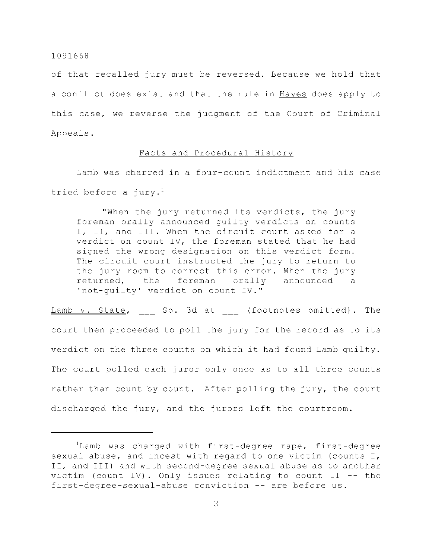of that recalled jury must be reversed. Because we hold that a conflict does exist and that the rule in Hayes does apply to this case, we reverse the judgment of the Court of Criminal Appeals .

#### Facts and Procedural History

Lamb was charged in a four-count indictment and his case tried before a jury.<sup>1</sup>

"When the jury returned its verdicts, the jury foreman orally announced guilty verdicts on counts I, II, and III. When the circuit court asked for a verdict on count IV, the foreman stated that he had signed the wrong designation on this verdict form. The circuit court instructed the jury to return to the jury room to correct this error. When the jury returned, the foreman orally announced a 'not-guilty' verdict on count IV."

Lamb v. State, So. 3d at (footnotes omitted). The court then proceeded to poll the jury for the record as to its verdict on the three counts on which it had found Lamb guilty. The court polled each juror only once as to all three counts rather than count by count. After polling the jury, the court discharged the jury, and the jurors left the courtroom.

<sup>&#</sup>x27;Lamb was charged with first-degree rape, first-degree sexual abuse, and incest with regard to one victim (counts  $I$ , II, and III) and with second-degree sexual abuse as to another victim (count IV). Only issues relating to count II -- the first-degree-sexual-abuse conviction  $--$  are before us.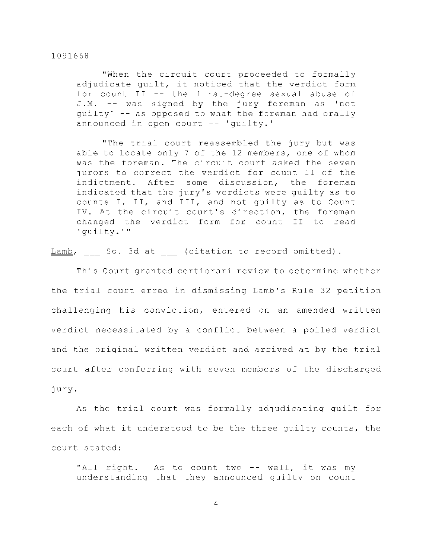"When the circuit court proceeded to formally adjudicate guilt, it noticed that the verdict form for count  $II$  -- the first-degree sexual abuse of J.M. -- was signed by the jury foreman as 'not guilty' -- as opposed to what the foreman had orally announced in open court -- 'guilty.'

"The trial court reassembled the jury but was able to locate only 7 of the 12 members, one of whom was the foreman. The circuit court asked the seven jurors to correct the verdict for count II of the indictment. After some discussion, the foreman indicated that the jury's verdicts were quilty as to counts I, II, and III, and not guilty as to Count IV. At the circuit court's direction, the foreman changed the verdict form for count II to read 'guilty.' "

 $Lamb$ , So. 3d at (citation to record omitted).

This Court granted certiorari review to determine whether the trial court erred in dismissing Lamb's Rule 32 petition challenging his conviction, entered on an amended written verdict necessitated by a conflict between a polled verdict and the original written verdict and arrived at by the trial court after conferring with seven members of the discharged jury .

As the trial court was formally adjudicating quilt for each of what it understood to be the three quilty counts, the court stated:

"All right. As to count two -- well, it was my understanding that they announced guilty on count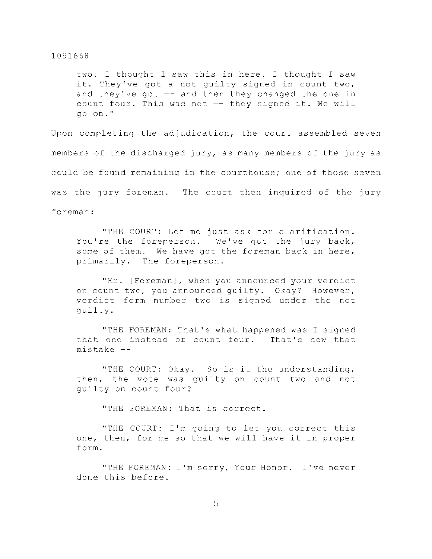two. I thought I saw this in here. I thought I saw it. They've got a not guilty signed in count two, and they've got  $-$  and then they changed the one in count four. This was not  $-$  they signed it. We will go on. "

Upon completing the adjudication, the court assembled seven members of the discharged jury, as many members of the jury as could be found remaining in the courthouse; one of those seven was the jury foreman. The court then inquired of the jury foreman :

"THE COURT: Let me just ask for clarification. You're the foreperson. We've got the jury back, some of them. We have got the foreman back in here, primarily. The foreperson.

"Mr. [Foreman], when you announced your verdict on count two, you announced guilty. Okay? However, verdict form number two is signed under the not guilty .

"THE FOREMAN: That's what happened was I signed that one instead of count four. That's how that  $miskake -$ 

"THE COURT: Okay. So is it the understanding, then, the vote was quilty on count two and not quilty on count four?

"THE FOREMAN: That is correct.

"THE COURT: I'm going to let you correct this one, then, for me so that we will have it in proper form .

"THE FOREMAN: I'm sorry, Your Honor. I've never done this before.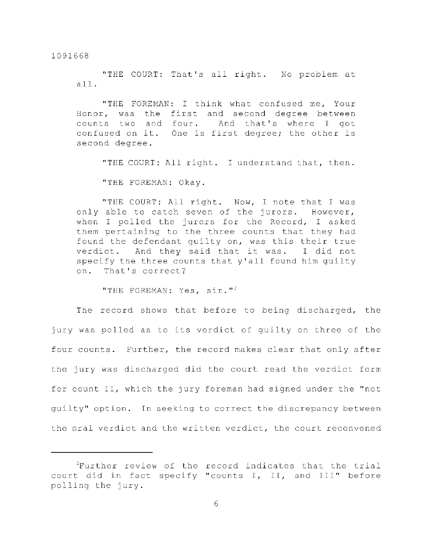"THE COURT: That's all right. No problem at all .

"THE FOREMAN: I think what confused me, Your Honor, was the first and second degree between counts two and four. And that's where I got confused on it. One is first degree; the other is second degree.

"THE COURT: All right. I understand that, then.

"THE FOREMAN: Okay.

"THE COURT: All right. Now, I note that I was only able to catch seven of the jurors. However, when I polled the jurors for the Record, I asked them pertaining to the three counts that they had found the defendant quilty on, was this their true verdict. And they said that it was. I did not specify the three counts that y'all found him quilty on. That's correct?

"THE FOREMAN: Yes,  $\sin$ ."<sup>2</sup>

The record shows that before to being discharged, the jury was polled as to its verdict of guilty on three of the four counts. Further, the record makes clear that only after the jury was discharged did the court read the verdict form for count II, which the jury foreman had signed under the "not quilty" option. In seeking to correct the discrepancy between the oral verdict and the written verdict, the court reconvened

 $2$ Further review of the record indicates that the trial court did in fact specify "counts I, II, and III" before polling the jury.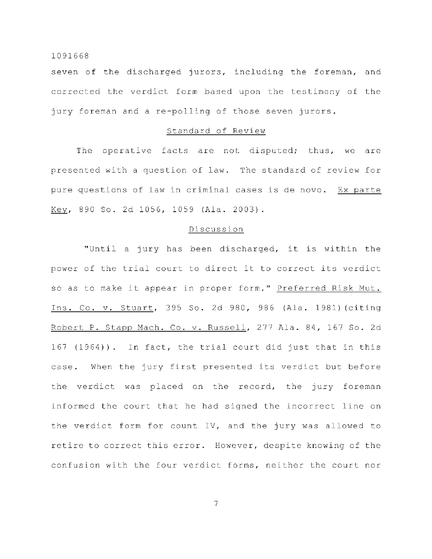seven of the discharged jurors, including the foreman, and corrected the verdict form based upon the testimony of the jury foreman and a re-polling of those seven jurors.

#### Standard of Review

The operative facts are not disputed; thus, we are presented with a question of law. The standard of review for pure questions of law in criminal cases is de novo. Ex parte Key, 890 So. 2d 1056, 1059 (Ala. 2003).

#### Discussion

"Until a jury has been discharged, it is within the power of the trial court to direct it to correct its verdict so as to make it appear in proper form." Preferred Risk Mut. Ins. Co. v. Stuart, 395 So. 2d 980, 986 (Ala. 1981) (citing Robert P. Stapp Mach. Co. v. Russell, 277 Ala. 84, 167 So. 2d 167 (1964)). In fact, the trial court did just that in this case. When the jury first presented its verdict but before the verdict was placed on the record, the jury foreman informed the court that he had signed the incorrect line on the verdict form for count IV, and the jury was allowed to retire to correct this error. However, despite knowing of the confusion with the four verdict forms, neither the court nor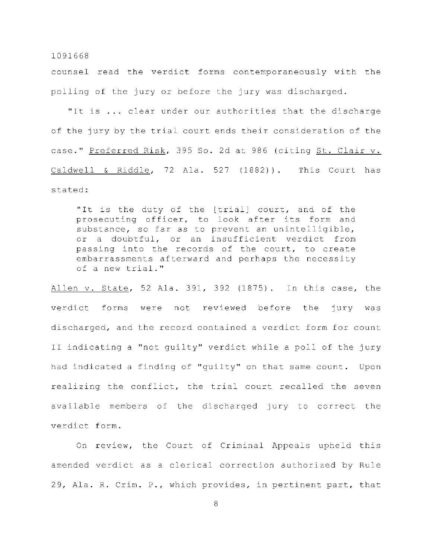counsel read the verdict forms contemporaneously with the polling of the jury or before the jury was discharged.

"It is ... clear under our authorities that the discharge of the jury by the trial court ends their consideration of the case." Preferred Risk, 395 So. 2d at 986 (citing St. Clair v. Caldwell & Riddle, 72 Ala.  $527$  (1882)). This Court has stated:

"It is the duty of the [trial] court, and of the prosecuting officer, to look after its form and substance, so far as to prevent an unintelligible, or a doubtful, or an insufficient verdict from passing into the records of the court, to create embarrassments afterward and perhaps the necessity of a new trial."

Allen v. State, 52 Ala. 391, 392 (1875). In this case, the verdict forms were not reviewed before the jury was discharged, and the record contained a verdict form for count II indicating a "not guilty" verdict while a poll of the jury had indicated a finding of "guilty" on that same count. Upon realizing the conflict, the trial court recalled the seven available members of the discharged jury to correct the verdict form.

On review, the Court of Criminal Appeals upheld this amended verdict as a clerical correction authorized by Rule 29, Ala. R. Crim. P., which provides, in pertinent part, that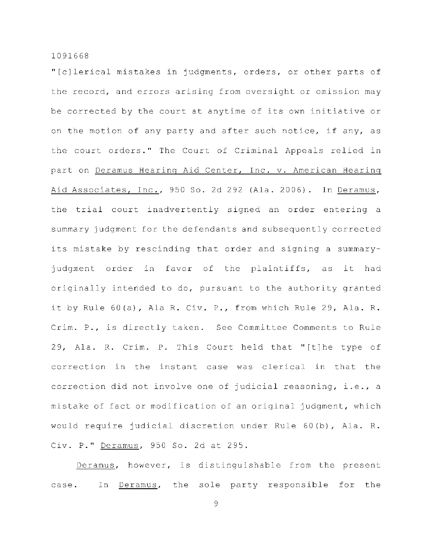"[c]lerical mistakes in judgments, orders, or other parts of the record, and errors arising from oversight or omission may be corrected by the court at anytime of its own initiative or on the motion of any party and after such notice, if any, as the court orders." The Court of Criminal Appeals relied in part on Deramus Hearing Aid Center, Inc. v. American Hearing Aid Associates, Inc., 950 So. 2d 292 (Ala. 2006). In Deramus, the trial court inadvertently signed an order entering a summary judgment for the defendants and subsequently corrected its mistake by rescinding that order and signing a summaryjudgment order in favor of the plaintiffs, as it had originally intended to do, pursuant to the authority granted it by Rule 60(a), Ala R. Civ. P., from which Rule 29, Ala. R. Crim. P., is directly taken. See Committee Comments to Rule 29, Ala. R. Crim. P. This Court held that "[t]he type of correction in the instant case was clerical in that the correction did not involve one of judicial reasoning, i.e., a mistake of fact or modification of an original judgment, which would require judicial discretion under Rule  $60(b)$ , Ala. R. Civ. P." Deramus, 950 So. 2d at 295.

Deramus, however, is distinguishable from the present case. In Deramus, the sole party responsible for the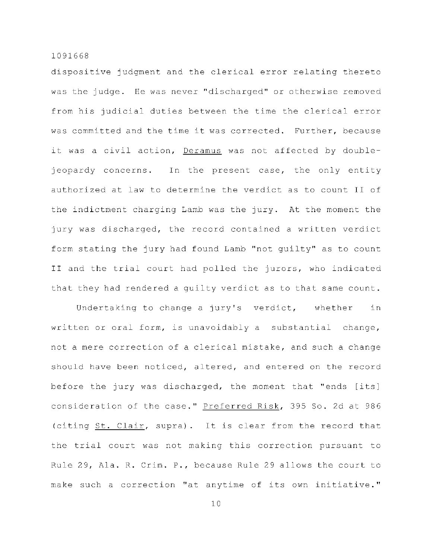dispositive judgment and the clerical error relating thereto was the judge. He was never "discharged" or otherwise removed from his judicial duties between the time the clerical error was committed and the time it was corrected. Further, because it was a civil action, Deramus was not affected by doublejeopardy concerns. In the present case, the only entity authorized at law to determine the verdict as to count II of the indictment charging Lamb was the jury. At the moment the jury was discharged, the record contained a written verdict form stating the jury had found Lamb "not guilty" as to count II and the trial court had polled the jurors, who indicated that they had rendered a quilty verdict as to that same count.

Undertaking to change a jury's verdict, whether in written or oral form, is unavoidably a substantial change, not a mere correction of a clerical mistake, and such a change should have been noticed, altered, and entered on the record before the jury was discharged, the moment that "ends [its] consideration of the case." Preferred Risk, 395 So. 2d at 986 (citing St. Clair, supra). It is clear from the record that the trial court was not making this correction pursuant to Rule 29, Ala. R. Crim. P., because Rule 29 allows the court to make such a correction "at anytime of its own initiative."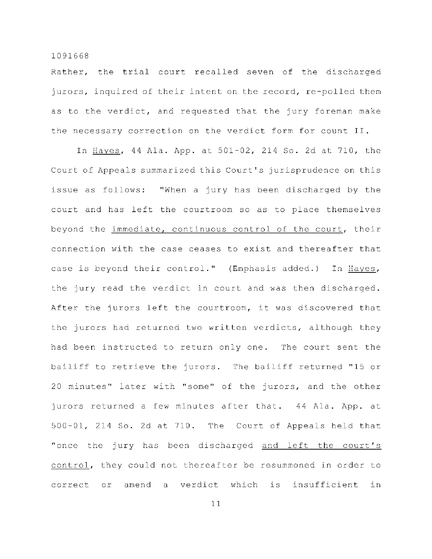Rather, the trial court recalled seven of the discharged jurors, inquired of their intent on the record, re-polled them as to the verdict, and requested that the jury foreman make the necessary correction on the verdict form for count  $II$ .

In Hayes, 44 Ala. App. at 501-02, 214 So. 2d at 710, the Court of Appeals summarized this Court's jurisprudence on this issue as follows: "When a jury has been discharged by the court and has left the courtroom so as to place themselves beyond the immediate, continuous control of the court, their connection with the case ceases to exist and thereafter that case is beyond their control." (Emphasis added.) In Hayes, the jury read the verdict in court and was then discharged. After the jurors left the courtroom, it was discovered that the jurors had returned two written verdicts, although they had been instructed to return only one. The court sent the bailiff to retrieve the jurors. The bailiff returned "15 or 20 minutes" later with "some" of the jurors, and the other jurors returned a few minutes after that. 44 Ala. App. at  $500-01$ , 214 So. 2d at 710. The Court of Appeals held that "once the jury has been discharged and left the court's control, they could not thereafter be resummoned in order to correct or amend a verdict which is insufficient in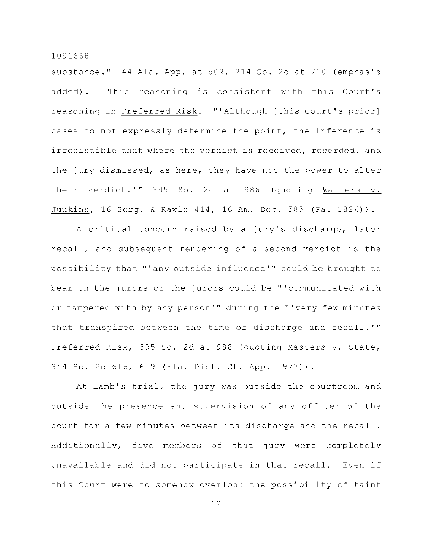substance."  $44$  Ala. App. at  $502$ ,  $214$  So. 2d at  $710$  (emphasis added). This reasoning is consistent with this Court's reasoning in Preferred Risk. "'Although [this Court's prior] cases do not expressly determine the point, the inference is irresistible that where the verdict is received, recorded, and the jury dismissed, as here, they have not the power to alter their verdict.'" 395 So. 2d at 986 (quoting Walters v. Junkins, 16 Serg. & Rawle 414, 16 Am. Dec. 585 (Pa. 1826)).

A critical concern raised by a jury's discharge, later recall, and subsequent rendering of a second verdict is the possibility that "'any outside influence'" could be brought to bear on the jurors or the jurors could be "'communicated with or tampered with by any person'" during the "'very few minutes that transpired between the time of discharge and recall.'" Preferred Risk, 395 So. 2d at 988 (quoting Masters v. State, 344 So. 2d 616, 619 (Fla. Dist. Ct. App. 1977)).

At Lamb's trial, the jury was outside the courtroom and outside the presence and supervision of any officer of the court for a few minutes between its discharge and the recall. Additionally, five members of that jury were completely unavailable and did not participate in that recall. Even if this Court were to somehow overlook the possibility of taint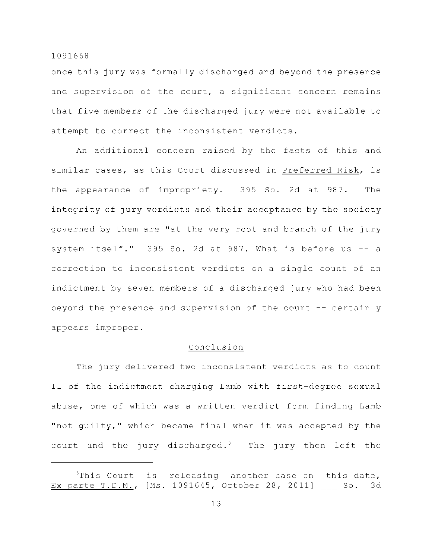once this jury was formally discharged and beyond the presence and supervision of the court, a significant concern remains that five members of the discharged jury were not available to attempt to correct the inconsistent verdicts.

An additional concern raised by the facts of this and similar cases, as this Court discussed in Preferred Risk, is the appearance of impropriety. 395 So. 2d at 987. The integrity of jury verdicts and their acceptance by the society governed by them are "at the very root and branch of the jury system itself."  $395$  So. 2d at 987. What is before us  $-$  a correction to inconsistent verdicts on a single count of an indictment by seven members of a discharged jury who had been beyond the presence and supervision of the court  $-$ - certainly appears improper.

# Conclusion

The jury delivered two inconsistent verdicts as to count II of the indictment charging Lamb with first-degree sexual abuse, one of which was a written verdict form finding Lamb "not quilty," which became final when it was accepted by the court and the jury discharged.<sup>3</sup> The jury then left the

 $3$ This Court is releasing another case on this date, Ex parte T.D.M., [Ms. 1091645, October 28, 2011] So. 3d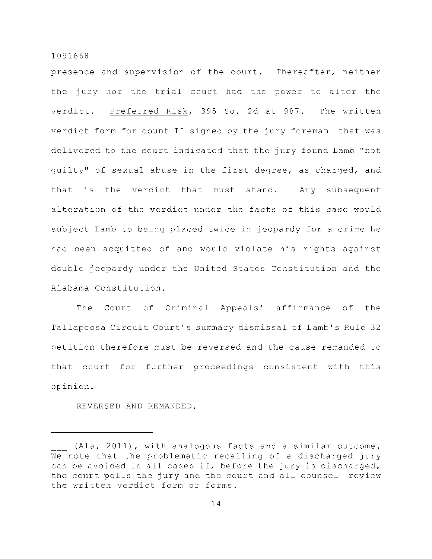presence and supervision of the court. Thereafter, neither the jury nor the trial court had the power to alter the verdict. Preferred Risk, 395 So. 2d at 987. The written verdict form for count II signed by the jury foreman that was delivered to the court indicated that the jury found Lamb "not guilty" of sexual abuse in the first degree, as charged, and that is the verdict that must stand. Any subsequent alteration of the verdict under the facts of this case would subject Lamb to being placed twice in jeopardy for a crime he had been acquitted of and would violate his rights against double jeopardy under the United States Constitution and the Alabama Constitution.

The Court of Criminal Appeals' affirmance of the Tallapoosa Circuit Court's summary dismissal of Lamb's Rule 32 petition therefore must be reversed and the cause remanded to that court for further proceedings consistent with this opinion .

REVERSED AND REMANDED.

<sup>(</sup>Ala. 2011), with analogous facts and a similar outcome. We note that the problematic recalling of a discharged jury can be avoided in all cases if, before the jury is discharged, the court polls the jury and the court and all counsel review the written verdict form or forms.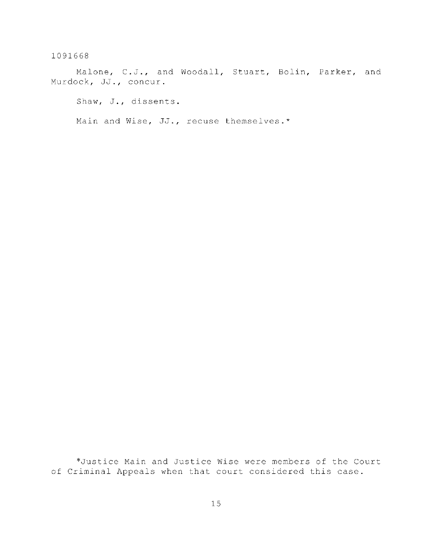Malone, C.J., and Woodall, Stuart, Bolin, Parker, and Murdock, JJ., concur.

Shaw, J., dissents.

Main and Wise, JJ., recuse themselves.\*

\*Justice Main and Justice Wise were members of the Court of Criminal Appeals when that court considered this case.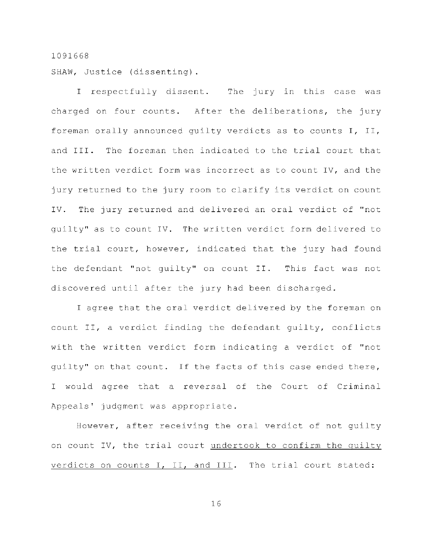SHAW, Justice (dissenting).

I respectfully dissent. The jury in this case was charged on four counts. After the deliberations, the jury foreman orally announced guilty verdicts as to counts  $I$ ,  $II$ , and III. The foreman then indicated to the trial court that the written verdict form was incorrect as to count IV, and the jury returned to the jury room to clarify its verdict on count IV. The jury returned and delivered an oral verdict of "not quilty" as to count IV. The written verdict form delivered to the trial court, however, indicated that the jury had found the defendant "not guilty" on count II. This fact was not discovered until after the jury had been discharged.

I agree that the oral verdict delivered by the foreman on count II, a verdict finding the defendant quilty, conflicts with the written verdict form indicating a verdict of "not quilty" on that count. If the facts of this case ended there, I would agree that a reversal of the Court of Criminal Appeals' judgment was appropriate.

However, after receiving the oral verdict of not guilty on count IV, the trial court undertook to confirm the quilty verdicts on counts I, II, and III. The trial court stated: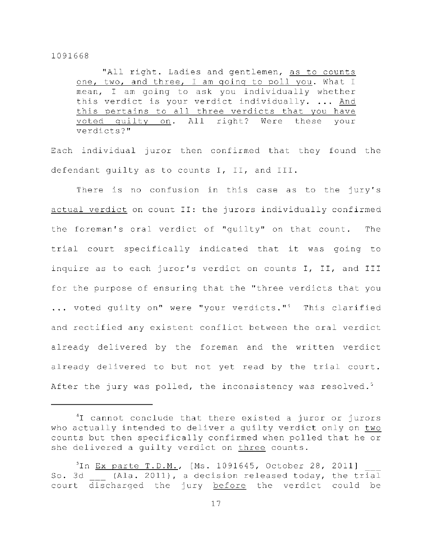"All right. Ladies and gentlemen, as to counts one, two, and three, I am going to poll you. What I mean, I am going to ask you individually whether this verdict is your verdict individually. ... And this pertains to all three verdicts that you have voted quilty on. All right? Were these your verdicts? "

Each individual juror then confirmed that they found the defendant guilty as to counts I, II, and III.

There is no confusion in this case as to the jury's actual verdict on count II: the jurors individually confirmed the foreman's oral verdict of "guilty" on that count. The trial court specifically indicated that it was going to inquire as to each juror's verdict on counts I, II, and III for the purpose of ensuring that the "three verdicts that you  $\ldots$  voted quilty on" were "your verdicts."<sup>4</sup> This clarified and rectified any existent conflict between the oral verdict already delivered by the foreman and the written verdict already delivered to but not yet read by the trial court. After the jury was polled, the inconsistency was resolved.<sup>5</sup>

 $1$  cannot conclude that there existed a juror or jurors who actually intended to deliver a quilty verdict only on two counts but then specifically confirmed when polled that he or she delivered a quilty verdict on three counts.

 $\text{In } \underline{\text{Ex}}$  parte T.D.M., [Ms. 1091645, October 28, 2011] So. 3d (Ala. 2011), a decision released today, the trial court discharged the jury before the verdict could be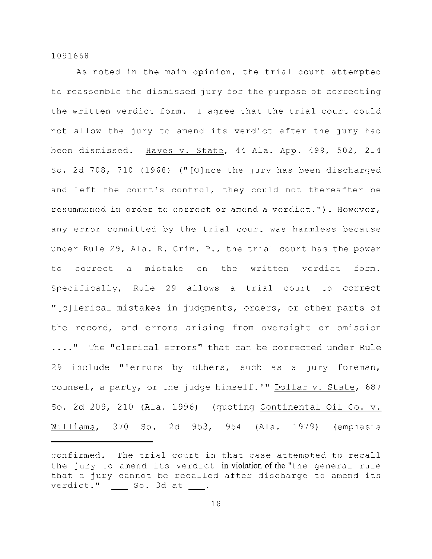As noted in the main opinion, the trial court attempted to reassemble the dismissed jury for the purpose of correcting the written verdict form. I agree that the trial court could not allow the jury to amend its verdict after the jury had been dismissed. Hayes v. State, 44 Ala. App. 499, 502, 214 So. 2d 708, 710 (1968) ("[O]nce the jury has been discharged and left the court's control, they could not thereafter be resummoned in order to correct or amend a verdict."). However, any error committed by the trial court was harmless because under Rule 29, Ala. R. Crim. P., the trial court has the power to correct a mistake on the written verdict form. Specifically, Rule 29 allows a trial court to correct "[c]lerical mistakes in judgments, orders, or other parts of the record, and errors arising from oversight or omission ...." The "clerical errors" that can be corrected under Rule 29 include "'errors by others, such as a jury foreman, counsel, a party, or the judge himself.'" Dollar v. State, 687 So. 2d 209, 210 (Ala. 1996) (quoting Continental Oil Co.  $v$ . Williams, 370 So. 2d 953, 954 (Ala. 1979) (emphasis

confirmed. The trial court in that case attempted to recall the jury to amend its verdict in violation of the "the general rule that a jury cannot be recalled after discharge to amend its verdict." So. 3d at .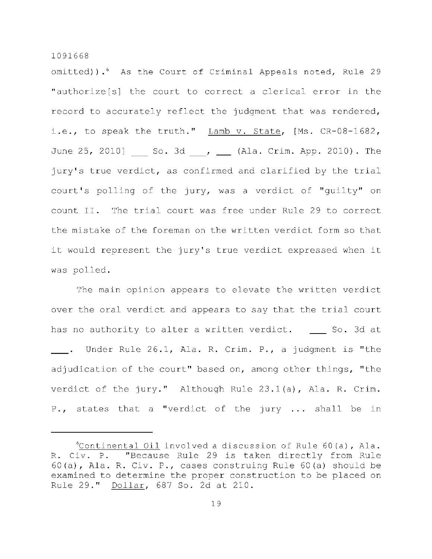omitted)).<sup>6</sup> As the Court of Criminal Appeals noted, Rule 29 "authorize $[s]$  the court to correct a clerical error in the record to accurately reflect the judgment that was rendered, i.e., to speak the truth."  $Lamb$  v. State, [Ms. CR-08-1682, June 25, 2010] So. 3d , \_\_ (Ala. Crim. App. 2010). The jury's true verdict, as confirmed and clarified by the trial court's polling of the jury, was a verdict of "quilty" on count II. The trial court was free under Rule 29 to correct the mistake of the foreman on the written verdict form so that it would represent the jury's true verdict expressed when it was polled.

The main opinion appears to elevate the written verdict over the oral verdict and appears to say that the trial court has no authority to alter a written verdict.  $\quad \_ \$  So. 3d at  $\_\_\_$ . Under Rule 26.1, Ala. R. Crim. P., a judgment is "the adjudication of the court" based on, among other things, "the verdict of the jury." Although Rule  $23.1(a)$ , Ala. R. Crim. P., states that a "verdict of the jury ... shall be in

 $^{\circ}$ Continental Oil involved a discussion of Rule 60(a), Ala. R. Civ. P. "Because Rule 29 is taken directly from Rule 60(a), Ala. R. Civ. P., cases construing Rule  $60(a)$  should be examined to determine the proper construction to be placed on Rule 29." Dollar, 687 So. 2d at 210.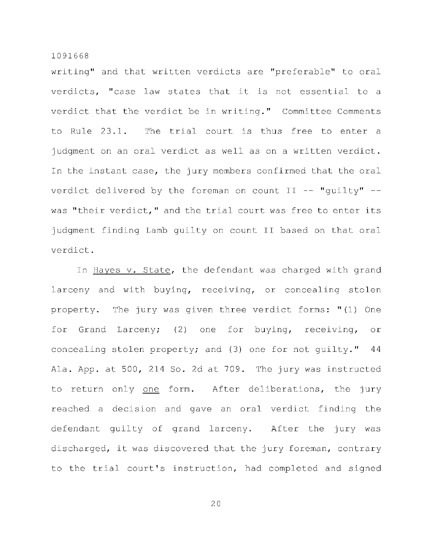writing" and that written verdicts are "preferable" to oral verdicts, "case law states that it is not essential to a verdict that the verdict be in writing." Committee Comments to Rule 23.1. The trial court is thus free to enter a judgment on an oral verdict as well as on a written verdict. In the instant case, the jury members confirmed that the oral verdict delivered by the foreman on count  $II$  -- "quilty" -was "their verdict," and the trial court was free to enter its judgment finding Lamb guilty on count II based on that oral verdict .

In Hayes v. State, the defendant was charged with grand larceny and with buying, receiving, or concealing stolen property. The jury was given three verdict forms: "(1) One for Grand Larceny; (2) one for buying, receiving, or concealing stolen property; and (3) one for not guilty."  $44$ Ala. App. at 500, 214 So. 2d at 709. The jury was instructed to return only one form. After deliberations, the jury reached a decision and gave an oral verdict finding the defendant guilty of grand larceny. After the jury was discharged, it was discovered that the jury foreman, contrary to the trial court's instruction, had completed and signed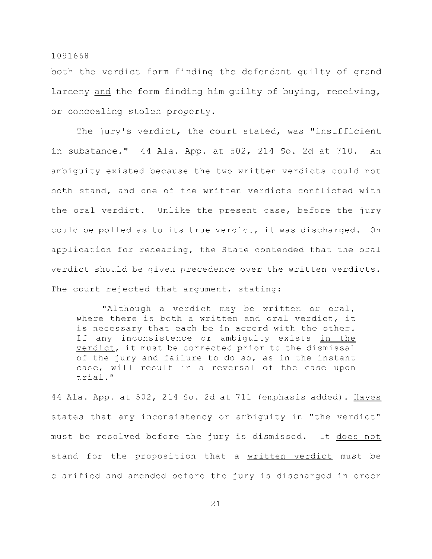both the verdict form finding the defendant quilty of grand larceny and the form finding him quilty of buying, receiving, or concealing stolen property.

The jury's verdict, the court stated, was "insufficient in substance." 44 Ala. App. at 502, 214 So. 2d at 710. An ambiguity existed because the two written verdicts could not both stand, and one of the written verdicts conflicted with the oral verdict. Unlike the present case, before the jury could be polled as to its true verdict, it was discharged. On application for rehearing, the State contended that the oral verdict should be given precedence over the written verdicts. The court rejected that argument, stating:

"Although a verdict may be written or oral, where there is both a written and oral verdict, it is necessary that each be in accord with the other. If any inconsistence or ambiguity exists in the verdict, it must be corrected prior to the dismissal of the jury and failure to do so, as in the instant case, will result in a reversal of the case upon trial. "

44 Ala. App. at  $502$ ,  $214$  So. 2d at  $711$  (emphasis added). Hayes states that any inconsistency or ambiguity in "the verdict" must be resolved before the jury is dismissed. It does not stand for the proposition that a written verdict must be clarified and amended before the jury is discharged in order